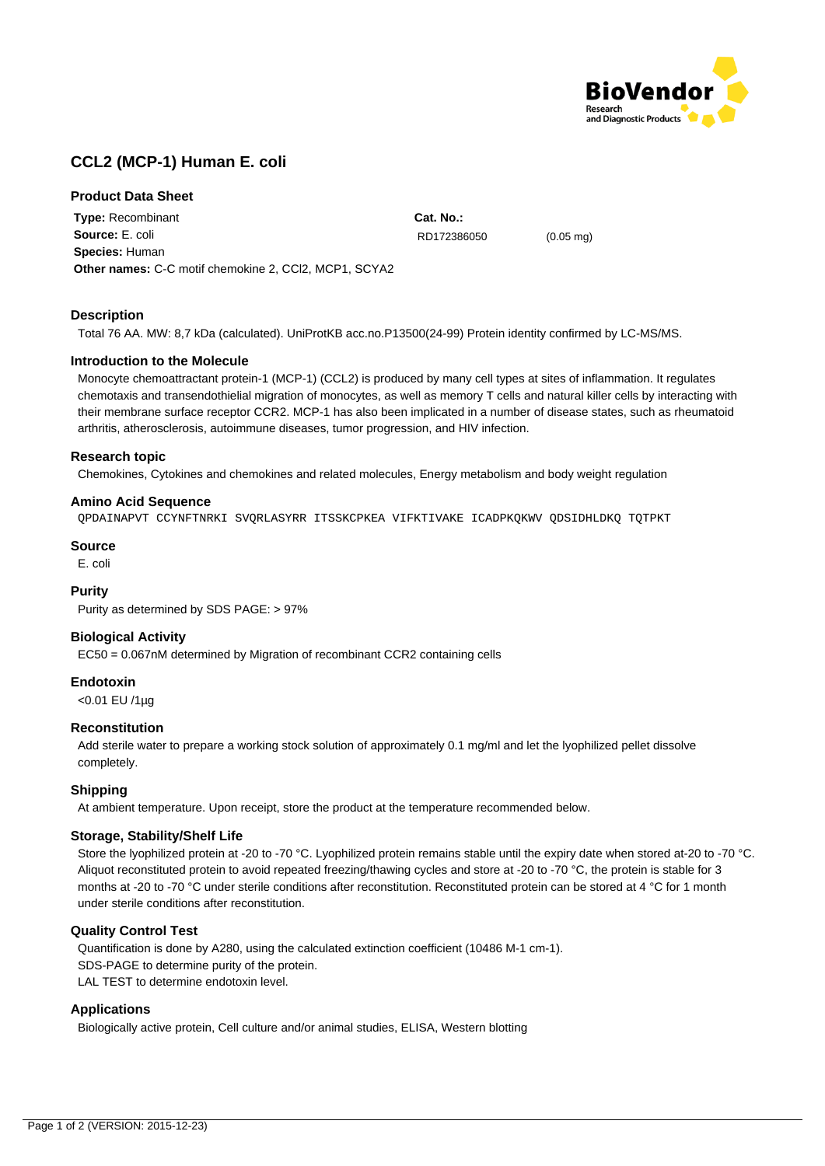

# **CCL2 (MCP-1) Human E. coli**

# **Product Data Sheet**

**Type:** Recombinant **Source:** E. coli **Species:** Human **Other names:** C-C motif chemokine 2, CCl2, MCP1, SCYA2

**Description**

Total 76 AA. MW: 8,7 kDa (calculated). UniProtKB acc.no.P13500(24-99) Protein identity confirmed by LC-MS/MS.

## **Introduction to the Molecule**

Monocyte chemoattractant protein-1 (MCP-1) (CCL2) is produced by many cell types at sites of inflammation. It regulates chemotaxis and transendothielial migration of monocytes, as well as memory T cells and natural killer cells by interacting with their membrane surface receptor CCR2. MCP-1 has also been implicated in a number of disease states, such as rheumatoid arthritis, atherosclerosis, autoimmune diseases, tumor progression, and HIV infection.

**Cat. No.:**

RD172386050 (0.05 mg)

## **Research topic**

Chemokines, Cytokines and chemokines and related molecules, Energy metabolism and body weight regulation

## **Amino Acid Sequence**

QPDAINAPVT CCYNFTNRKI SVQRLASYRR ITSSKCPKEA VIFKTIVAKE ICADPKQKWV QDSIDHLDKQ TQTPKT

#### **Source**

E. coli

# **Purity**

Purity as determined by SDS PAGE: > 97%

# **Biological Activity**

EC50 = 0.067nM determined by Migration of recombinant CCR2 containing cells

#### **Endotoxin**

<0.01 EU /1µg

#### **Reconstitution**

Add sterile water to prepare a working stock solution of approximately 0.1 mg/ml and let the lyophilized pellet dissolve completely.

#### **Shipping**

At ambient temperature. Upon receipt, store the product at the temperature recommended below.

#### **Storage, Stability/Shelf Life**

Store the lyophilized protein at -20 to -70 °C. Lyophilized protein remains stable until the expiry date when stored at-20 to -70 °C. Aliquot reconstituted protein to avoid repeated freezing/thawing cycles and store at -20 to -70 °C, the protein is stable for 3 months at -20 to -70 °C under sterile conditions after reconstitution. Reconstituted protein can be stored at 4 °C for 1 month under sterile conditions after reconstitution.

#### **Quality Control Test**

Quantification is done by A280, using the calculated extinction coefficient (10486 M-1 cm-1). SDS-PAGE to determine purity of the protein. LAL TEST to determine endotoxin level.

# **Applications**

Biologically active protein, Cell culture and/or animal studies, ELISA, Western blotting